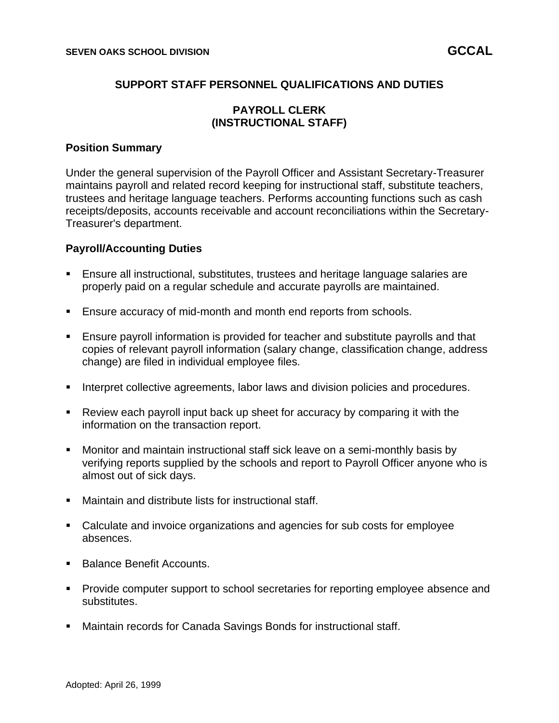# **SUPPORT STAFF PERSONNEL QUALIFICATIONS AND DUTIES**

# **PAYROLL CLERK (INSTRUCTIONAL STAFF)**

#### **Position Summary**

Under the general supervision of the Payroll Officer and Assistant Secretary-Treasurer maintains payroll and related record keeping for instructional staff, substitute teachers, trustees and heritage language teachers. Performs accounting functions such as cash receipts/deposits, accounts receivable and account reconciliations within the Secretary-Treasurer's department.

#### **Payroll/Accounting Duties**

- **E**nsure all instructional, substitutes, trustees and heritage language salaries are properly paid on a regular schedule and accurate payrolls are maintained.
- Ensure accuracy of mid-month and month end reports from schools.
- **E** Ensure payroll information is provided for teacher and substitute payrolls and that copies of relevant payroll information (salary change, classification change, address change) are filed in individual employee files.
- **EXECT** Interpret collective agreements, labor laws and division policies and procedures.
- Review each payroll input back up sheet for accuracy by comparing it with the information on the transaction report.
- Monitor and maintain instructional staff sick leave on a semi-monthly basis by verifying reports supplied by the schools and report to Payroll Officer anyone who is almost out of sick days.
- Maintain and distribute lists for instructional staff.
- Calculate and invoice organizations and agencies for sub costs for employee absences.
- Balance Benefit Accounts.
- Provide computer support to school secretaries for reporting employee absence and substitutes.
- Maintain records for Canada Savings Bonds for instructional staff.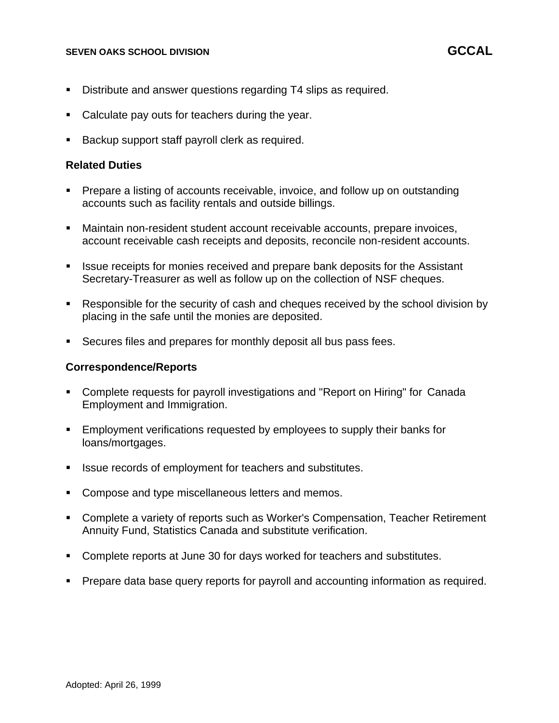- Distribute and answer questions regarding T4 slips as required.
- Calculate pay outs for teachers during the year.
- Backup support staff payroll clerk as required.

### **Related Duties**

- Prepare a listing of accounts receivable, invoice, and follow up on outstanding accounts such as facility rentals and outside billings.
- **E** Maintain non-resident student account receivable accounts, prepare invoices, account receivable cash receipts and deposits, reconcile non-resident accounts.
- **EXE** Issue receipts for monies received and prepare bank deposits for the Assistant Secretary-Treasurer as well as follow up on the collection of NSF cheques.
- Responsible for the security of cash and cheques received by the school division by placing in the safe until the monies are deposited.
- Secures files and prepares for monthly deposit all bus pass fees.

### **Correspondence/Reports**

- Complete requests for payroll investigations and "Report on Hiring" for Canada Employment and Immigration.
- **Employment verifications requested by employees to supply their banks for** loans/mortgages.
- Issue records of employment for teachers and substitutes.
- Compose and type miscellaneous letters and memos.
- Complete a variety of reports such as Worker's Compensation, Teacher Retirement Annuity Fund, Statistics Canada and substitute verification.
- Complete reports at June 30 for days worked for teachers and substitutes.
- Prepare data base query reports for payroll and accounting information as required.